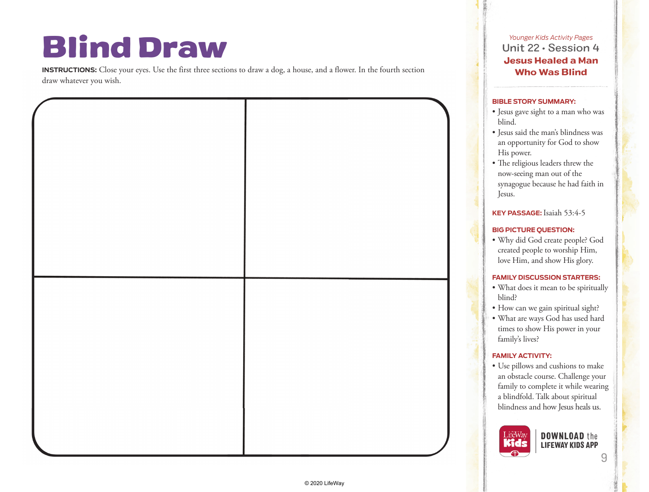## Blind Draw

**INSTRUCTIONS:** Close your eyes. Use the first three sections to draw a dog, a house, and a flower. In the fourth section draw whatever you wish.



*Younger Kids Activity Pages* Unit 22 • Session 4 Jesus Healed a Man Who Was Blind

## **BIBLE STORY SUMMARY:**

- synagogue because he had faith in
- 
- What does it mean to be spiritually
- What are ways God has used hard
- Use pillows and cushions to make an obstacle course. Challenge your family to complete it while wearing